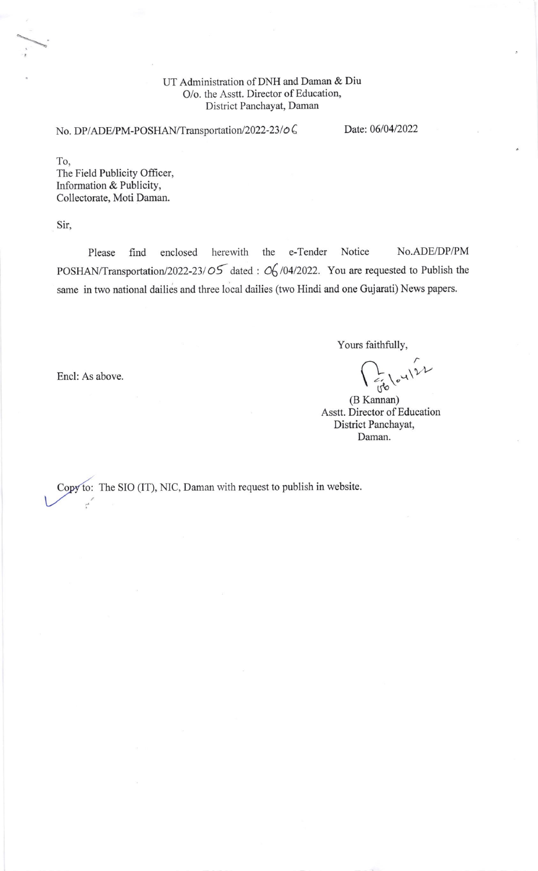## UT Administration of DNH and Daman & Diu O/o. the Asstt. Director of Education, District Panchayat, Daman

No. DP/ADE/PM-POSHAN/Transportation/2022-23/06 Date: 06/04/2022

To, The Field Publicity Officer, Information & Publicity, Collectorate, Moti Daman.

Sir,

Please find enclosed herewith the e-Tender Notice No.ADE/DP/PM POSHAN/Transportation/2022-23/05 dated :  $\mathcal{O}_0$ /04/2022. You are requested to Publish the same in two national dailies and three local dailies (two Hindi and one Gujarati) News papers.

Yours faithfully,

 $E_{\rm 0}$  (  $\sim$  1) 2)

(B Kannan) Asstt. Director of Education District Panchayat, Daman.

Encl: As above

: The SIO (IT), NIC, Daman with request to publish in website.